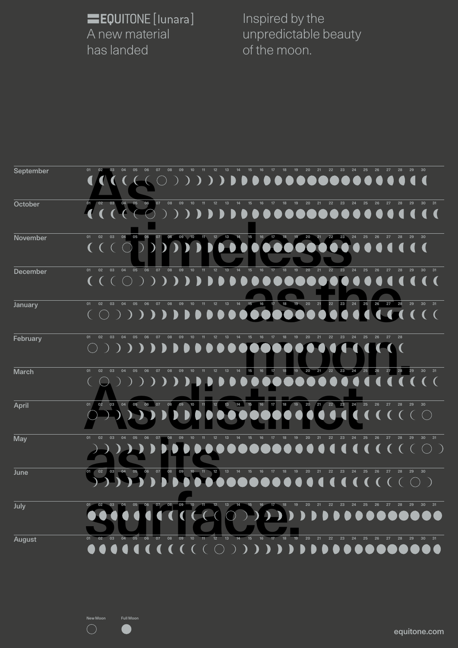equitone.com

Inspired by the unpredictable beauty of the moon.

EQUITONE [lunara] A new material has landed

| <b>September</b> | 18<br>19<br>20<br>21<br>22<br>23<br>01<br>05<br>06<br>07                                                                                                                                                                                                                                                                                                                                                                                                                                                                                                                                                                                                                                                                                                               |
|------------------|------------------------------------------------------------------------------------------------------------------------------------------------------------------------------------------------------------------------------------------------------------------------------------------------------------------------------------------------------------------------------------------------------------------------------------------------------------------------------------------------------------------------------------------------------------------------------------------------------------------------------------------------------------------------------------------------------------------------------------------------------------------------|
|                  |                                                                                                                                                                                                                                                                                                                                                                                                                                                                                                                                                                                                                                                                                                                                                                        |
|                  |                                                                                                                                                                                                                                                                                                                                                                                                                                                                                                                                                                                                                                                                                                                                                                        |
|                  |                                                                                                                                                                                                                                                                                                                                                                                                                                                                                                                                                                                                                                                                                                                                                                        |
| October          | 06<br>07<br>08<br>20<br>04<br>05<br>09<br>10<br>13<br>18<br>19<br>22<br>25<br>26<br>27<br>28<br>02<br>03<br>21<br>23<br>24<br>29<br>30 <sup>°</sup>                                                                                                                                                                                                                                                                                                                                                                                                                                                                                                                                                                                                                    |
|                  | $( ) ) ) ) ) ) ) ) ) )$                                                                                                                                                                                                                                                                                                                                                                                                                                                                                                                                                                                                                                                                                                                                                |
|                  |                                                                                                                                                                                                                                                                                                                                                                                                                                                                                                                                                                                                                                                                                                                                                                        |
| <b>November</b>  | 04<br>$05$ 06<br>20 21 22 23 24 25 26 27 28<br>01 02<br>03<br>07 08<br>29<br>30                                                                                                                                                                                                                                                                                                                                                                                                                                                                                                                                                                                                                                                                                        |
|                  |                                                                                                                                                                                                                                                                                                                                                                                                                                                                                                                                                                                                                                                                                                                                                                        |
|                  |                                                                                                                                                                                                                                                                                                                                                                                                                                                                                                                                                                                                                                                                                                                                                                        |
|                  |                                                                                                                                                                                                                                                                                                                                                                                                                                                                                                                                                                                                                                                                                                                                                                        |
| <b>December</b>  | 19 20 21<br>09<br>10<br>$11 \t 12 \t 13$<br>$\frac{1}{4}$<br>$15$ 16<br>22 23 24 25 26 27<br>06 07 08<br>18<br>$\overline{17}$<br>28<br>29<br>02<br>04<br>05<br>30 31<br>03<br>01                                                                                                                                                                                                                                                                                                                                                                                                                                                                                                                                                                                      |
|                  | $\begin{array}{l} {\color{blue}\bullet} {\color{green}\bullet} {\color{green}\bullet} {\color{green}\bullet} {\color{green}\bullet} {\color{green}\bullet} {\color{green}\bullet} {\color{green}\bullet} {\color{green}\bullet} {\color{green}\bullet} {\color{green}\bullet} {\color{green}\bullet} {\color{green}\bullet} {\color{green}\bullet} {\color{green}\bullet} {\color{green}\bullet} {\color{green}\bullet} {\color{green}\bullet} {\color{green}\bullet} {\color{green}\bullet} {\color{green}\bullet} {\color{green}\bullet} {\color{green}\bullet} {\color{green}\bullet} {\color{green}\bullet} {\color{green}\bullet} {\color{green}\bullet} {\color{green}\bullet} {\color{green}\bullet} {\color{green}\bullet} {\color{$<br><b>Ay</b><br>$\bullet$ |
|                  |                                                                                                                                                                                                                                                                                                                                                                                                                                                                                                                                                                                                                                                                                                                                                                        |
| <b>January</b>   | 22 23 24 25 26 27 28 29<br>12 13 14 15 16 17 18 19 20 21<br>05  06  07  08<br>09<br>30 31<br>$10$ 11<br>01<br>02<br>03<br>04                                                                                                                                                                                                                                                                                                                                                                                                                                                                                                                                                                                                                                           |
|                  | $\bullet$                                                                                                                                                                                                                                                                                                                                                                                                                                                                                                                                                                                                                                                                                                                                                              |
|                  |                                                                                                                                                                                                                                                                                                                                                                                                                                                                                                                                                                                                                                                                                                                                                                        |
|                  |                                                                                                                                                                                                                                                                                                                                                                                                                                                                                                                                                                                                                                                                                                                                                                        |
| February         | 01<br>02<br>08<br>09<br>12<br>20<br>22<br>23<br>03<br>04<br>05<br>06<br>07<br>10<br>$-11$<br>13<br>14<br>15<br>16<br>17<br>18<br>19<br>21<br>24<br>25<br>26<br>27<br>28                                                                                                                                                                                                                                                                                                                                                                                                                                                                                                                                                                                                |
|                  |                                                                                                                                                                                                                                                                                                                                                                                                                                                                                                                                                                                                                                                                                                                                                                        |

| February      | 01<br>02<br>03                 | 04<br>05<br>06<br>07                                 | 08<br>09                                                   | 12 <sup>2</sup><br>10 <sup>°</sup><br>$-11$ | 13<br>14              | 16<br>15               | 17<br>18                 | 19 <sup>°</sup><br>20<br>21              | 22<br>23 | 24<br>25       | 26<br>27 | 28       |                       |
|---------------|--------------------------------|------------------------------------------------------|------------------------------------------------------------|---------------------------------------------|-----------------------|------------------------|--------------------------|------------------------------------------|----------|----------------|----------|----------|-----------------------|
|               |                                |                                                      |                                                            |                                             |                       |                        |                          |                                          |          |                |          |          |                       |
|               |                                |                                                      |                                                            |                                             |                       |                        |                          |                                          |          |                |          |          |                       |
| <b>March</b>  | 01<br>02<br>03                 | 05 06<br>$\overline{\phantom{0}}$ 07<br>04           | $\overline{\phantom{0}}$ 08<br>$\overline{\phantom{0}}$ 09 | 10 <sub>1</sub><br>$-11$                    | 12 13 14              | 15 <br>16              | 17<br>18                 | 19 <sup>°</sup><br>21<br>20 <sup>°</sup> | 22 23 24 | 25             | 27<br>26 | 28<br>29 | 30 31                 |
|               |                                |                                                      |                                                            |                                             |                       |                        | 000000                   |                                          | 000      | $\blacksquare$ |          |          |                       |
|               |                                |                                                      |                                                            |                                             |                       |                        |                          |                                          |          |                |          |          |                       |
| <b>April</b>  | 03<br>01<br>02                 | 06<br>07<br>05<br>04                                 | 09<br>08                                                   | 11<br>$12$<br>$\sqrt{10}$                   | 14<br>13 <sup>°</sup> | 15<br>16               | 17<br>18                 | 19<br>/21<br>20 <sub>1</sub>             | 22<br>23 | 24<br>25       | 26 27    | 28<br>29 | 30                    |
|               |                                |                                                      |                                                            |                                             |                       |                        |                          |                                          |          |                |          |          |                       |
| <b>May</b>    | 01<br>02<br>03                 | 07<br>05<br>06                                       | 08<br>09                                                   | 12 <sub>2</sub><br>10                       | 13                    | 15<br>16               | 17                       | 19<br>20<br>21                           | 22<br>23 | 24<br>25       | 26 27    | 28<br>29 | 30 <sub>o</sub><br>31 |
|               |                                |                                                      |                                                            |                                             |                       |                        |                          |                                          |          |                |          |          |                       |
|               |                                |                                                      |                                                            |                                             |                       |                        |                          |                                          |          |                |          |          |                       |
| June          | 03<br>02<br>04<br>01           | $\overline{\phantom{0}}$ 07<br>05<br>06              | 80                                                         | 09 10 11 12 13                              | $-14$                 | $-15$<br>$-16$         | 17<br>18                 | 19<br>20<br>$-21$                        | 22<br>23 | 24<br>25       | 26<br>27 | 28       | 29 30                 |
|               |                                |                                                      |                                                            |                                             |                       |                        |                          |                                          |          |                |          |          |                       |
|               |                                |                                                      |                                                            |                                             |                       |                        |                          |                                          |          |                |          |          |                       |
| July          |                                | $\overline{\mathbf{07}}$<br>$-06$<br>05 <sub>1</sub> | $\overline{\phantom{0}08}$<br>$-09$                        | 10 <sub>z</sub>                             | 13                    | $15$ 16                | $\overline{\phantom{a}}$ | 21<br>20                                 | 22<br>23 | 24<br>25       | 26<br>27 |          | 30 31                 |
|               |                                |                                                      |                                                            |                                             |                       |                        |                          |                                          |          |                |          |          | <b>DOOOOOOO</b>       |
|               |                                |                                                      |                                                            |                                             |                       |                        |                          |                                          |          |                |          |          |                       |
| <b>August</b> | 03<br><b>02</b>                | 07<br>06<br>04                                       | 08<br>09                                                   | 10 <sup>°</sup><br>12                       | 13                    | 15 <sup>15</sup><br>16 | 18<br>17                 | 19<br>20<br>21                           | 22<br>23 | 24<br>25       | 26<br>27 | 28<br>29 | 30 <sub>o</sub><br>31 |
|               | $\bullet\bullet\bullet\bullet$ | $\lceil$ (<br><b>A</b>                               |                                                            |                                             |                       |                        |                          |                                          |          | <b>DOOOOOO</b> |          |          |                       |

e di

 $\begin{pmatrix} 1 & 1 \\ 1 & 1 \end{pmatrix}$